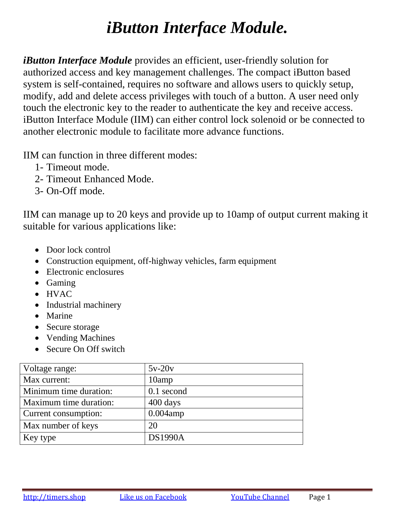# *iButton Interface Module.*

*iButton Interface Module* provides an efficient, user-friendly solution for authorized access and key management challenges. The compact iButton based system is self-contained, requires no software and allows users to quickly setup, modify, add and delete access privileges with touch of a button. A user need only touch the electronic key to the reader to authenticate the key and receive access. iButton Interface Module (IIM) can either control lock solenoid or be connected to another electronic module to facilitate more advance functions.

IIM can function in three different modes:

- 1- Timeout mode.
- 2- Timeout Enhanced Mode.
- 3- On-Off mode.

IIM can manage up to 20 keys and provide up to 10amp of output current making it suitable for various applications like:

- Door lock control
- Construction equipment, off-highway vehicles, farm equipment
- Electronic enclosures
- Gaming
- HVAC
- Industrial machinery
- Marine
- Secure storage
- Vending Machines
- Secure On Off switch

| Voltage range:         | $5v-20v$           |
|------------------------|--------------------|
| Max current:           | 10amp              |
| Minimum time duration: | 0.1 second         |
| Maximum time duration: | $400 \text{ days}$ |
| Current consumption:   | $0.004$ amp        |
| Max number of keys     | 20                 |
| Key type               | <b>DS1990A</b>     |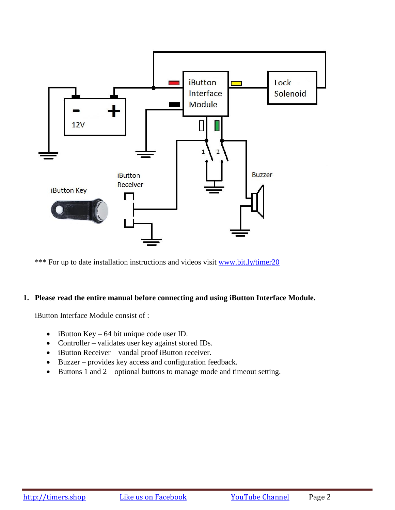

\*\*\* For up to date installation instructions and videos visit [www.bit.ly/timer20](http://www.bit.ly/timer20)

## **1. Please read the entire manual before connecting and using iButton Interface Module.**

iButton Interface Module consist of :

- $\bullet$  iButton Key 64 bit unique code user ID.
- Controller validates user key against stored IDs.
- iButton Receiver vandal proof iButton receiver.
- Buzzer provides key access and configuration feedback.
- $\bullet$  Buttons 1 and 2 optional buttons to manage mode and timeout setting.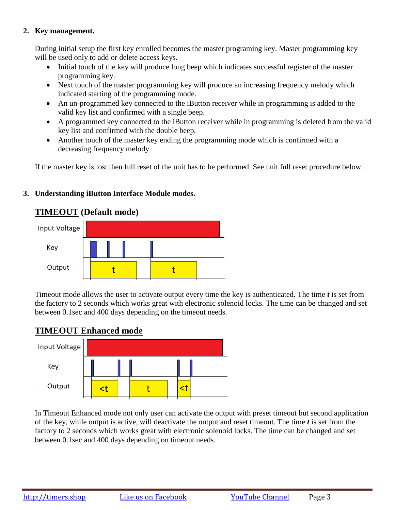## **2. Key management.**

During initial setup the first key enrolled becomes the master programing key. Master programming key will be used only to add or delete access keys.

- Initial touch of the key will produce long beep which indicates successful register of the master programming key.
- Next touch of the master programming key will produce an increasing frequency melody which indicated starting of the programming mode.
- An un-programmed key connected to the iButton receiver while in programming is added to the valid key list and confirmed with a single beep.
- A programmed key connected to the iButton receiver while in programming is deleted from the valid key list and confirmed with the double beep.
- Another touch of the master key ending the programming mode which is confirmed with a decreasing frequency melody.

If the master key is lost then full reset of the unit has to be performed. See unit full reset procedure below.

## **3. Understanding iButton Interface Module modes.**

## **TIMEOUT (Default mode)**



Timeout mode allows the user to activate output every time the key is authenticated. The time *t* is set from the factory to 2 seconds which works great with electronic solenoid locks. The time can be changed and set between 0.1sec and 400 days depending on the timeout needs.

## **TIMEOUT Enhanced mode**



In Timeout Enhanced mode not only user can activate the output with preset timeout but second application of the key, while output is active, will deactivate the output and reset timeout. The time *t* is set from the factory to 2 seconds which works great with electronic solenoid locks. The time can be changed and set between 0.1sec and 400 days depending on timeout needs.